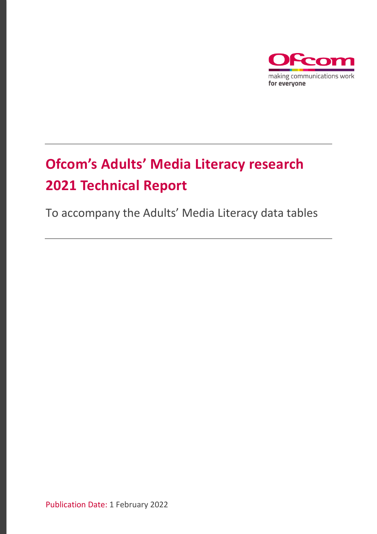

# **Ofcom's Adults' Media Literacy research 2021 Technical Report**

To accompany the Adults' Media Literacy data tables

Publication Date: 1 February 2022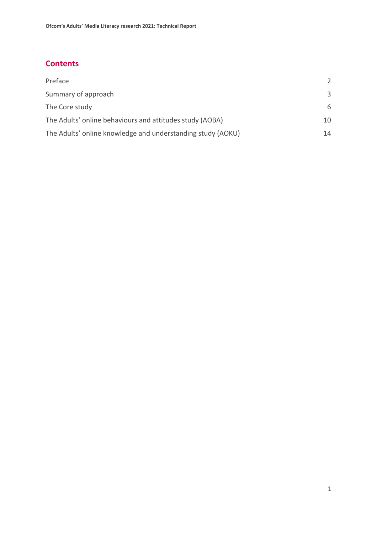# **Contents**

| Preface                                                     |    |
|-------------------------------------------------------------|----|
| Summary of approach                                         | 3  |
| The Core study                                              | 6  |
| The Adults' online behaviours and attitudes study (AOBA)    | 10 |
| The Adults' online knowledge and understanding study (AOKU) | 14 |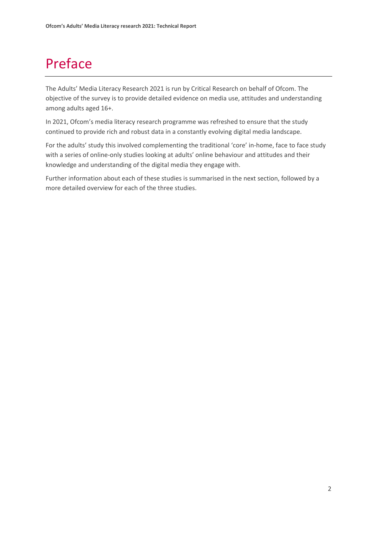# <span id="page-2-0"></span>Preface

The Adults' Media Literacy Research 2021 is run by Critical Research on behalf of Ofcom. The objective of the survey is to provide detailed evidence on media use, attitudes and understanding among adults aged 16+.

In 2021, Ofcom's media literacy research programme was refreshed to ensure that the study continued to provide rich and robust data in a constantly evolving digital media landscape.

For the adults' study this involved complementing the traditional 'core' in-home, face to face study with a series of online-only studies looking at adults' online behaviour and attitudes and their knowledge and understanding of the digital media they engage with.

Further information about each of these studies is summarised in the next section, followed by a more detailed overview for each of the three studies.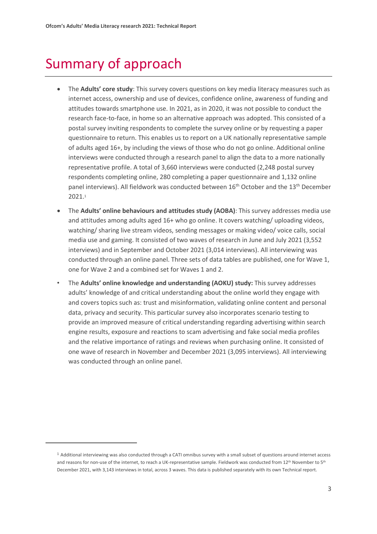# <span id="page-3-0"></span>Summary of approach

- The **Adults' core study**: This survey covers questions on key media literacy measures such as internet access, ownership and use of devices, confidence online, awareness of funding and attitudes towards smartphone use. In 2021, as in 2020, it was not possible to conduct the research face-to-face, in home so an alternative approach was adopted. This consisted of a postal survey inviting respondents to complete the survey online or by requesting a paper questionnaire to return. This enables us to report on a UK nationally representative sample of adults aged 16+, by including the views of those who do not go online. Additional online interviews were conducted through a research panel to align the data to a more nationally representative profile. A total of 3,660 interviews were conducted (2,248 postal survey respondents completing online, 280 completing a paper questionnaire and 1,132 online panel interviews). All fieldwork was conducted between  $16<sup>th</sup>$  October and the  $13<sup>th</sup>$  December 2021.<sup>1</sup>
- The **Adults' online behaviours and attitudes study (AOBA)**: This survey addresses media use and attitudes among adults aged 16+ who go online. It covers watching/ uploading videos, watching/ sharing live stream videos, sending messages or making video/ voice calls, social media use and gaming. It consisted of two waves of research in June and July 2021 (3,552 interviews) and in September and October 2021 (3,014 interviews). All interviewing was conducted through an online panel. Three sets of data tables are published, one for Wave 1, one for Wave 2 and a combined set for Waves 1 and 2.
- The **Adults' online knowledge and understanding (AOKU) study:** This survey addresses adults' knowledge of and critical understanding about the online world they engage with and covers topics such as: trust and misinformation, validating online content and personal data, privacy and security. This particular survey also incorporates scenario testing to provide an improved measure of critical understanding regarding advertising within search engine results, exposure and reactions to scam advertising and fake social media profiles and the relative importance of ratings and reviews when purchasing online. It consisted of one wave of research in November and December 2021 (3,095 interviews). All interviewing was conducted through an online panel.

<sup>&</sup>lt;sup>1</sup> Additional interviewing was also conducted through a CATI omnibus survey with a small subset of questions around internet access and reasons for non-use of the internet, to reach a UK-representative sample. Fieldwork was conducted from 12<sup>th</sup> November to 5<sup>th</sup> December 2021, with 3,143 interviews in total, across 3 waves. This data is published separately with its own Technical report.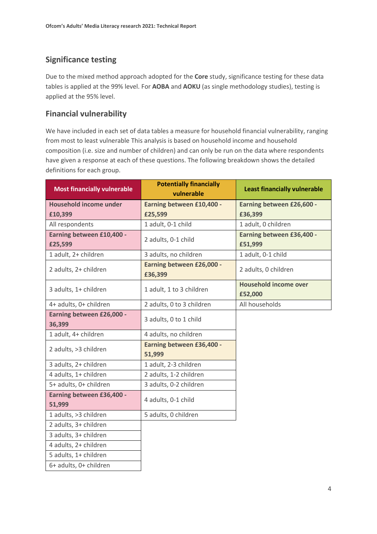# **Significance testing**

Due to the mixed method approach adopted for the **Core** study, significance testing for these data tables is applied at the 99% level. For **AOBA** and **AOKU** (as single methodology studies), testing is applied at the 95% level.

# **Financial vulnerability**

We have included in each set of data tables a measure for household financial vulnerability, ranging from most to least vulnerable This analysis is based on household income and household composition (i.e. size and number of children) and can only be run on the data where respondents have given a response at each of these questions. The following breakdown shows the detailed definitions for each group.

| <b>Most financially vulnerable</b>   | <b>Potentially financially</b><br>vulnerable | <b>Least financially vulnerable</b>     |
|--------------------------------------|----------------------------------------------|-----------------------------------------|
| <b>Household income under</b>        | Earning between £10,400 -                    | Earning between £26,600 -               |
| £10,399                              | £25,599                                      | £36,399                                 |
| All respondents                      | 1 adult, 0-1 child                           | 1 adult, 0 children                     |
| Earning between £10,400 -<br>£25,599 | 2 adults, 0-1 child                          | Earning between £36,400 -<br>£51,999    |
| 1 adult, 2+ children                 | 3 adults, no children                        | 1 adult, 0-1 child                      |
| 2 adults, 2+ children                | Earning between £26,000 -<br>£36,399         | 2 adults, 0 children                    |
| 3 adults, 1+ children                | 1 adult, 1 to 3 children                     | <b>Household income over</b><br>£52,000 |
| 4+ adults, 0+ children               | 2 adults, 0 to 3 children                    | All households                          |
| Earning between £26,000 -<br>36,399  | 3 adults, 0 to 1 child                       |                                         |
| 1 adult, 4+ children                 | 4 adults, no children                        |                                         |
| 2 adults, >3 children                | Earning between £36,400 -<br>51,999          |                                         |
| 3 adults, 2+ children                | 1 adult, 2-3 children                        |                                         |
| 4 adults, 1+ children                | 2 adults, 1-2 children                       |                                         |
| 5+ adults, 0+ children               | 3 adults, 0-2 children                       |                                         |
| Earning between £36,400 -<br>51,999  | 4 adults, 0-1 child                          |                                         |
| 1 adults, >3 children                | 5 adults, 0 children                         |                                         |
| 2 adults, 3+ children                |                                              |                                         |
| 3 adults, 3+ children                |                                              |                                         |
| 4 adults, 2+ children                |                                              |                                         |
| 5 adults, 1+ children                |                                              |                                         |
| 6+ adults, 0+ children               |                                              |                                         |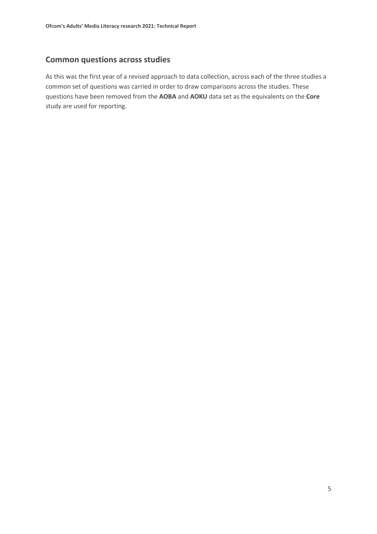### **Common questions across studies**

As this was the first year of a revised approach to data collection, across each of the three studies a common set of questions was carried in order to draw comparisons across the studies. These questions have been removed from the **AOBA** and **AOKU** data set as the equivalents on the **Core** study are used for reporting.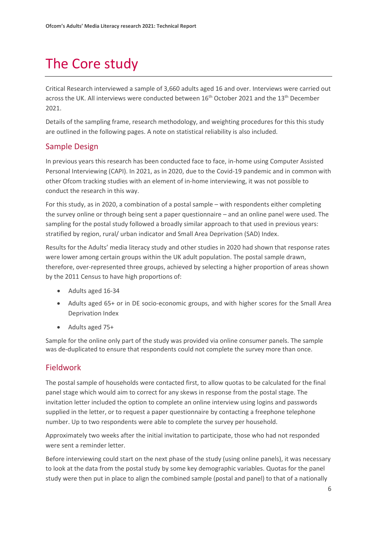# <span id="page-6-0"></span>The Core study

Critical Research interviewed a sample of 3,660 adults aged 16 and over. Interviews were carried out across the UK. All interviews were conducted between 16<sup>th</sup> October 2021 and the 13<sup>th</sup> December 2021.

Details of the sampling frame, research methodology, and weighting procedures for this this study are outlined in the following pages. A note on statistical reliability is also included.

### Sample Design

In previous years this research has been conducted face to face, in-home using Computer Assisted Personal Interviewing (CAPI). In 2021, as in 2020, due to the Covid-19 pandemic and in common with other Ofcom tracking studies with an element of in-home interviewing, it was not possible to conduct the research in this way.

For this study, as in 2020, a combination of a postal sample – with respondents either completing the survey online or through being sent a paper questionnaire – and an online panel were used. The sampling for the postal study followed a broadly similar approach to that used in previous years: stratified by region, rural/ urban indicator and Small Area Deprivation (SAD) Index.

Results for the Adults' media literacy study and other studies in 2020 had shown that response rates were lower among certain groups within the UK adult population. The postal sample drawn, therefore, over-represented three groups, achieved by selecting a higher proportion of areas shown by the 2011 Census to have high proportions of:

- Adults aged 16-34
- Adults aged 65+ or in DE socio-economic groups, and with higher scores for the Small Area Deprivation Index
- Adults aged 75+

Sample for the online only part of the study was provided via online consumer panels. The sample was de-duplicated to ensure that respondents could not complete the survey more than once.

### Fieldwork

The postal sample of households were contacted first, to allow quotas to be calculated for the final panel stage which would aim to correct for any skews in response from the postal stage. The invitation letter included the option to complete an online interview using logins and passwords supplied in the letter, or to request a paper questionnaire by contacting a freephone telephone number. Up to two respondents were able to complete the survey per household.

Approximately two weeks after the initial invitation to participate, those who had not responded were sent a reminder letter.

Before interviewing could start on the next phase of the study (using online panels), it was necessary to look at the data from the postal study by some key demographic variables. Quotas for the panel study were then put in place to align the combined sample (postal and panel) to that of a nationally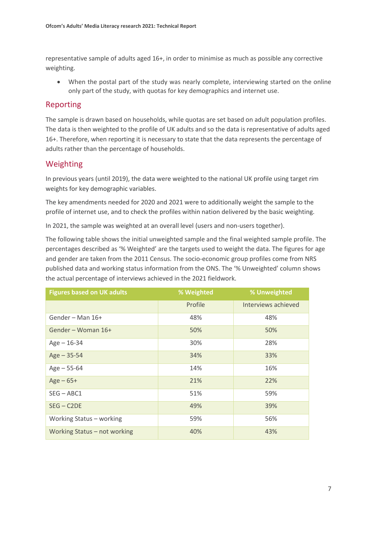representative sample of adults aged 16+, in order to minimise as much as possible any corrective weighting.

• When the postal part of the study was nearly complete, interviewing started on the online only part of the study, with quotas for key demographics and internet use.

### Reporting

The sample is drawn based on households, while quotas are set based on adult population profiles. The data is then weighted to the profile of UK adults and so the data is representative of adults aged 16+. Therefore, when reporting it is necessary to state that the data represents the percentage of adults rather than the percentage of households.

### Weighting

In previous years (until 2019), the data were weighted to the national UK profile using target rim weights for key demographic variables.

The key amendments needed for 2020 and 2021 were to additionally weight the sample to the profile of internet use, and to check the profiles within nation delivered by the basic weighting.

In 2021, the sample was weighted at an overall level (users and non-users together).

The following table shows the initial unweighted sample and the final weighted sample profile. The percentages described as '% Weighted' are the targets used to weight the data. The figures for age and gender are taken from the 2011 Census. The socio-economic group profiles come from NRS published data and working status information from the ONS. The '% Unweighted' column shows the actual percentage of interviews achieved in the 2021 fieldwork.

| <b>Figures based on UK adults</b> | % Weighted | % Unweighted        |
|-----------------------------------|------------|---------------------|
|                                   | Profile    | Interviews achieved |
| Gender - Man 16+                  | 48%        | 48%                 |
| Gender - Woman 16+                | 50%        | 50%                 |
| $Age - 16-34$                     | 30%        | 28%                 |
| $Age - 35-54$                     | 34%        | 33%                 |
| $Age - 55-64$                     | 14%        | 16%                 |
| $Age - 65+$                       | 21%        | 22%                 |
| $SEG - ABC1$                      | 51%        | 59%                 |
| $SEG - C2DE$                      | 49%        | 39%                 |
| Working Status - working          | 59%        | 56%                 |
| Working Status - not working      | 40%        | 43%                 |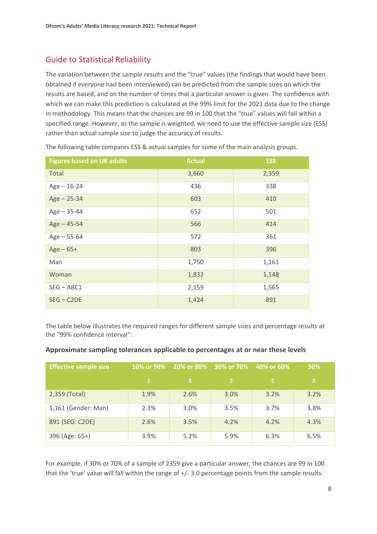# Guide to Statistical Reliability

The variation between the sample results and the "true" values (the findings that would have been obtained if everyone had been interviewed) can be predicted from the sample sizes on which the results are based, and on the number of times that a particular answer is given. The confidence with which we can make this prediction is calculated at the 99% limit for the 2021 data due to the change in methodology. This means that the chances are 99 in 100 that the "true" values will fall within a specified range. However, as the sample is weighted, we need to use the effective sample size (ESS) rather than actual sample size to judge the accuracy of results.

| <b>Figures based on UK adults</b> | <b>Actual</b> | <b>ESS</b> |
|-----------------------------------|---------------|------------|
| Total                             | 3,660         | 2,359      |
| $Age - 16-24$                     | 436           | 338        |
| $Age - 25-34$                     | 603           | 410        |
| $Age - 35-44$                     | 652           | 501        |
| $Age - 45 - 54$                   | 566           | 414        |
| $Age - 55-64$                     | 572           | 361        |
| $Age - 65+$                       | 803           | 396        |
| Man                               | 1,750         | 1,161      |
| Woman                             | 1,832         | 1,148      |
| $SEG - ABC1$                      | 2,159         | 1,565      |
| $SEG - C2DE$                      | 1,424         | 891        |

The following table compares ESS & actual samples for some of the main analysis groups.

The table below illustrates the required ranges for different sample sizes and percentage results at the "99% confidence interval":

| Approximate sampling tolerances applicable to percentages at or near these levels |  |  |
|-----------------------------------------------------------------------------------|--|--|
|-----------------------------------------------------------------------------------|--|--|

| <b>Effective sample size</b> | 10% or 90% |      | 20% or 80% 30% or 70% | 40% or 60% | 50%  |
|------------------------------|------------|------|-----------------------|------------|------|
|                              | 士          | 士    | 士                     | 土          | 土    |
| 2,359 (Total)                | 1.9%       | 2.6% | 3.0%                  | 3.2%       | 3.2% |
| 1,161 (Gender: Man)          | 2.3%       | 3.0% | 3.5%                  | 3.7%       | 3.8% |
| 891 (SEG: C2DE)              | 2.6%       | 3.5% | 4.2%                  | 4.2%       | 4.3% |
| 396 (Age: 65+)               | 3.9%       | 5.2% | 5.9%                  | 6.3%       | 6.5% |

For example, if 30% or 70% of a sample of 2359 give a particular answer, the chances are 99 in 100 that the 'true' value will fall within the range of +/- 3.0 percentage points from the sample results.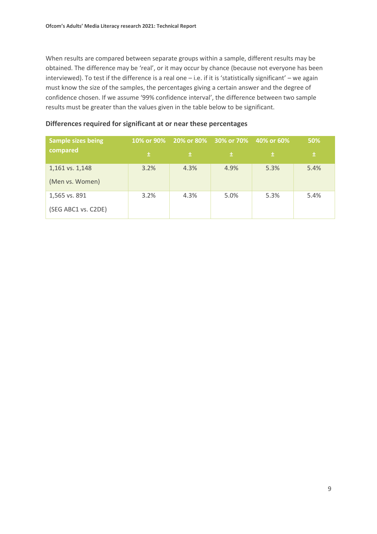When results are compared between separate groups within a sample, different results may be obtained. The difference may be 'real', or it may occur by chance (because not everyone has been interviewed). To test if the difference is a real one – i.e. if it is 'statistically significant' – we again must know the size of the samples, the percentages giving a certain answer and the degree of confidence chosen. If we assume '99% confidence interval', the difference between two sample results must be greater than the values given in the table below to be significant.

| <b>Sample sizes being</b> | 10% or 90% |      | 20% or 80% 30% or 70% 40% or 60% |      | 50%  |
|---------------------------|------------|------|----------------------------------|------|------|
| compared                  | 土          | 士    | 士                                | 士    | 士    |
| 1,161 vs. 1,148           | 3.2%       | 4.3% | 4.9%                             | 5.3% | 5.4% |
| (Men vs. Women)           |            |      |                                  |      |      |
| 1,565 vs. 891             | 3.2%       | 4.3% | 5.0%                             | 5.3% | 5.4% |
| (SEG ABC1 vs. C2DE)       |            |      |                                  |      |      |

#### **Differences required for significant at or near these percentages**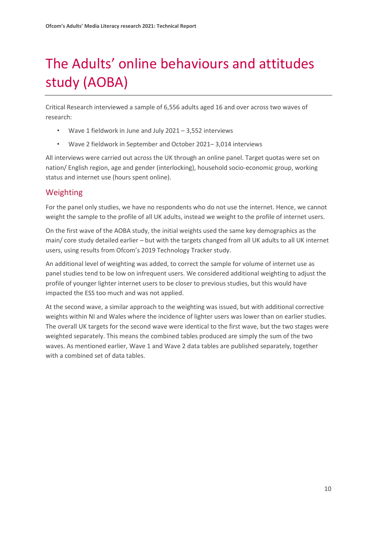# <span id="page-10-0"></span>The Adults' online behaviours and attitudes study (AOBA)

Critical Research interviewed a sample of 6,556 adults aged 16 and over across two waves of research:

- Wave 1 fieldwork in June and July  $2021 3,552$  interviews
- Wave 2 fieldwork in September and October 2021– 3,014 interviews

All interviews were carried out across the UK through an online panel. Target quotas were set on nation/ English region, age and gender (interlocking), household socio-economic group, working status and internet use (hours spent online).

## Weighting

For the panel only studies, we have no respondents who do not use the internet. Hence, we cannot weight the sample to the profile of all UK adults, instead we weight to the profile of internet users.

On the first wave of the AOBA study, the initial weights used the same key demographics as the main/ core study detailed earlier – but with the targets changed from all UK adults to all UK internet users, using results from Ofcom's 2019 Technology Tracker study.

An additional level of weighting was added, to correct the sample for volume of internet use as panel studies tend to be low on infrequent users. We considered additional weighting to adjust the profile of younger lighter internet users to be closer to previous studies, but this would have impacted the ESS too much and was not applied.

At the second wave, a similar approach to the weighting was issued, but with additional corrective weights within NI and Wales where the incidence of lighter users was lower than on earlier studies. The overall UK targets for the second wave were identical to the first wave, but the two stages were weighted separately. This means the combined tables produced are simply the sum of the two waves. As mentioned earlier, Wave 1 and Wave 2 data tables are published separately, together with a combined set of data tables.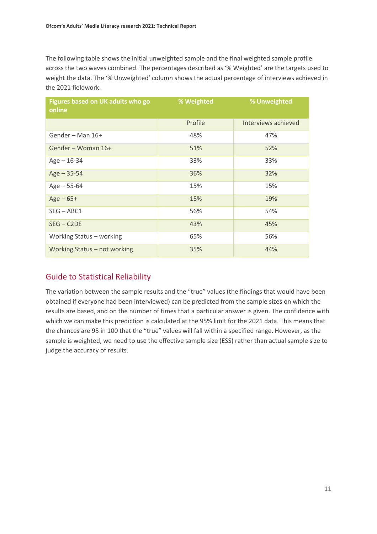The following table shows the initial unweighted sample and the final weighted sample profile across the two waves combined. The percentages described as '% Weighted' are the targets used to weight the data. The '% Unweighted' column shows the actual percentage of interviews achieved in the 2021 fieldwork.

| Figures based on UK adults who go<br>online | % Weighted | % Unweighted        |
|---------------------------------------------|------------|---------------------|
|                                             | Profile    | Interviews achieved |
| Gender - Man 16+                            | 48%        | 47%                 |
| Gender - Woman 16+                          | 51%        | 52%                 |
| $Age - 16-34$                               | 33%        | 33%                 |
| $Age - 35-54$                               | 36%        | 32%                 |
| $Age - 55-64$                               | 15%        | 15%                 |
| $Age - 65+$                                 | 15%        | 19%                 |
| $SEG - ABC1$                                | 56%        | 54%                 |
| $SEG - C2DE$                                | 43%        | 45%                 |
| Working Status - working                    | 65%        | 56%                 |
| Working Status - not working                | 35%        | 44%                 |

## Guide to Statistical Reliability

The variation between the sample results and the "true" values (the findings that would have been obtained if everyone had been interviewed) can be predicted from the sample sizes on which the results are based, and on the number of times that a particular answer is given. The confidence with which we can make this prediction is calculated at the 95% limit for the 2021 data. This means that the chances are 95 in 100 that the "true" values will fall within a specified range. However, as the sample is weighted, we need to use the effective sample size (ESS) rather than actual sample size to judge the accuracy of results.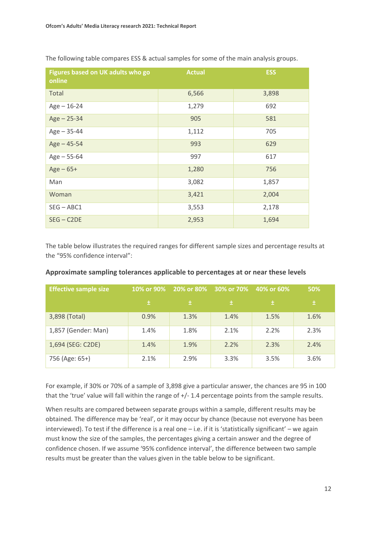| Figures based on UK adults who go<br>online | <b>Actual</b> | <b>ESS</b> |
|---------------------------------------------|---------------|------------|
| Total                                       | 6,566         | 3,898      |
| $Age - 16-24$                               | 1,279         | 692        |
| $Age - 25-34$                               | 905           | 581        |
| $Age - 35-44$                               | 1,112         | 705        |
| $Age - 45-54$                               | 993           | 629        |
| $Age - 55-64$                               | 997           | 617        |
| $Age - 65+$                                 | 1,280         | 756        |
| Man                                         | 3,082         | 1,857      |
| Woman                                       | 3,421         | 2,004      |
| $SEG - ABC1$                                | 3,553         | 2,178      |
| $SEG - C2DE$                                | 2,953         | 1,694      |

The following table compares ESS & actual samples for some of the main analysis groups.

The table below illustrates the required ranges for different sample sizes and percentage results at the "95% confidence interval":

| <b>Effective sample size</b> | 10% or 90% | 20% or 80% | 30% or 70% | 40% or 60% | <b>50%</b> |
|------------------------------|------------|------------|------------|------------|------------|
|                              | 土          | 土          | 土          | 土          | 土          |
| 3,898 (Total)                | 0.9%       | 1.3%       | 1.4%       | 1.5%       | 1.6%       |
| 1,857 (Gender: Man)          | 1.4%       | 1.8%       | 2.1%       | 2.2%       | 2.3%       |
| 1,694 (SEG: C2DE)            | 1.4%       | 1.9%       | 2.2%       | 2.3%       | 2.4%       |
| 756 (Age: 65+)               | 2.1%       | 2.9%       | 3.3%       | 3.5%       | 3.6%       |

#### **Approximate sampling tolerances applicable to percentages at or near these levels**

For example, if 30% or 70% of a sample of 3,898 give a particular answer, the chances are 95 in 100 that the 'true' value will fall within the range of +/- 1.4 percentage points from the sample results.

When results are compared between separate groups within a sample, different results may be obtained. The difference may be 'real', or it may occur by chance (because not everyone has been interviewed). To test if the difference is a real one – i.e. if it is 'statistically significant' – we again must know the size of the samples, the percentages giving a certain answer and the degree of confidence chosen. If we assume '95% confidence interval', the difference between two sample results must be greater than the values given in the table below to be significant.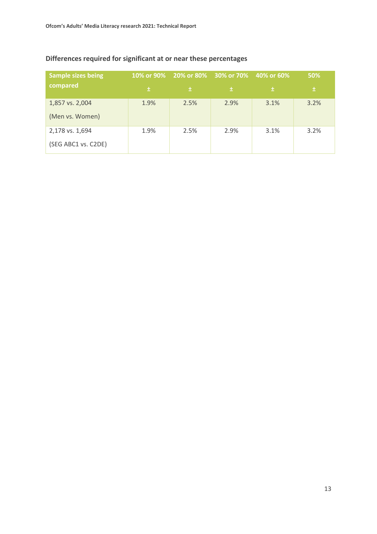| <b>Sample sizes being</b> |      |      | 10% or 90% 20% or 80% 30% or 70% 40% or 60% |      | 50%  |
|---------------------------|------|------|---------------------------------------------|------|------|
| compared                  | 土    | 士    | 士                                           | 士    | 土    |
| 1,857 vs. 2,004           | 1.9% | 2.5% | 2.9%                                        | 3.1% | 3.2% |
| (Men vs. Women)           |      |      |                                             |      |      |
| 2,178 vs. 1,694           | 1.9% | 2.5% | 2.9%                                        | 3.1% | 3.2% |
| (SEG ABC1 vs. C2DE)       |      |      |                                             |      |      |

## **Differences required for significant at or near these percentages**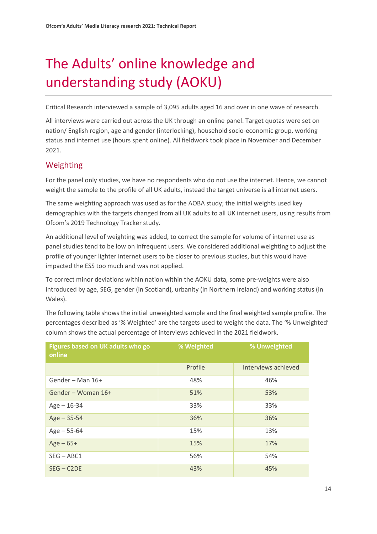# <span id="page-14-0"></span>The Adults' online knowledge and understanding study (AOKU)

Critical Research interviewed a sample of 3,095 adults aged 16 and over in one wave of research.

All interviews were carried out across the UK through an online panel. Target quotas were set on nation/ English region, age and gender (interlocking), household socio-economic group, working status and internet use (hours spent online). All fieldwork took place in November and December 2021.

### Weighting

For the panel only studies, we have no respondents who do not use the internet. Hence, we cannot weight the sample to the profile of all UK adults, instead the target universe is all internet users.

The same weighting approach was used as for the AOBA study; the initial weights used key demographics with the targets changed from all UK adults to all UK internet users, using results from Ofcom's 2019 Technology Tracker study.

An additional level of weighting was added, to correct the sample for volume of internet use as panel studies tend to be low on infrequent users. We considered additional weighting to adjust the profile of younger lighter internet users to be closer to previous studies, but this would have impacted the ESS too much and was not applied.

To correct minor deviations within nation within the AOKU data, some pre-weights were also introduced by age, SEG, gender (in Scotland), urbanity (in Northern Ireland) and working status (in Wales).

The following table shows the initial unweighted sample and the final weighted sample profile. The percentages described as '% Weighted' are the targets used to weight the data. The '% Unweighted' column shows the actual percentage of interviews achieved in the 2021 fieldwork.

| Figures based on UK adults who go<br>online | % Weighted | % Unweighted        |
|---------------------------------------------|------------|---------------------|
|                                             | Profile    | Interviews achieved |
| Gender - Man 16+                            | 48%        | 46%                 |
| Gender - Woman 16+                          | 51%        | 53%                 |
| $Age - 16-34$                               | 33%        | 33%                 |
| $Age - 35-54$                               | 36%        | 36%                 |
| $Age - 55-64$                               | 15%        | 13%                 |
| $Age - 65+$                                 | 15%        | 17%                 |
| $SEG - ABC1$                                | 56%        | 54%                 |
| $SEG - C2DE$                                | 43%        | 45%                 |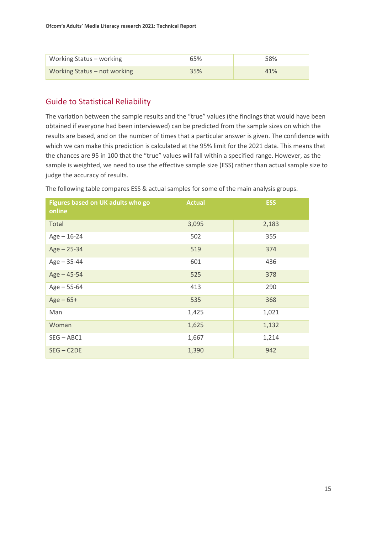| Working Status - working     | <b>65%</b> | 58% |
|------------------------------|------------|-----|
| Working Status - not working | 35%        | 41% |

## Guide to Statistical Reliability

The variation between the sample results and the "true" values (the findings that would have been obtained if everyone had been interviewed) can be predicted from the sample sizes on which the results are based, and on the number of times that a particular answer is given. The confidence with which we can make this prediction is calculated at the 95% limit for the 2021 data. This means that the chances are 95 in 100 that the "true" values will fall within a specified range. However, as the sample is weighted, we need to use the effective sample size (ESS) rather than actual sample size to judge the accuracy of results.

| Figures based on UK adults who go<br>online | <b>Actual</b> | <b>ESS</b> |
|---------------------------------------------|---------------|------------|
| Total                                       | 3,095         | 2,183      |
| $Age - 16-24$                               | 502           | 355        |
| $Age - 25-34$                               | 519           | 374        |
| $Age - 35-44$                               | 601           | 436        |
| $Age - 45-54$                               | 525           | 378        |
| $Age - 55-64$                               | 413           | 290        |
| $Age - 65+$                                 | 535           | 368        |
| Man                                         | 1,425         | 1,021      |
| Woman                                       | 1,625         | 1,132      |
| $SEG - ABC1$                                | 1,667         | 1,214      |
| $SEG - C2DE$                                | 1,390         | 942        |

The following table compares ESS & actual samples for some of the main analysis groups.